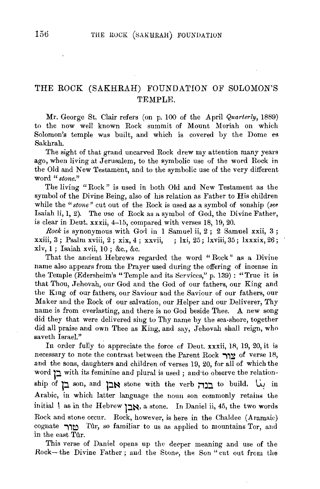## THE ROCK (SAKHRAH) FOUNDATION OF SOLOMON'S TEMPLE.

Mr. George St, Clair refers (on p. 100 of the April *Quarterly,* 1889) to the now well known Rock summit of Mount Moriah on which Solomon's temple was built, and which is covered by the Dome es Sakhrah.

The sight of that grand uncarved Rock drew my attention many years ago, when living at Jerusalem, to the symbolic use of the word Rock in the Old and New Testament, and to the symbolic use of the very different word *"stone."* 

The living "Rock" is used in both Old and New Testament as the symbol of the Divine Being, also of his relation as Father to His children while the "stone" cut out of the Rock is used as a symbol of sonship (see Isaiah li, 1, 2). The use of Rock as a symbol of God, the Divine Father, is clear in Dent. xxxii, 4-15, compared with verses 18, 19, 20.

 $Rock$  is synonymous with God in 1 Samuel ii,  $2$ ;  $2$  Samuel xxii,  $3$ ; xxiii, 3 ; Psalm xviii, 2 ; xix, 4 ; xxvii, ; lxi, 25; lxviii, 35; lxxxix, 26 ; xlv, l ; Isaiah xvii, 10 ; &c., &c.

That the ancient Hebrews regarded the word "Rock" as a Divine name also appears from the Prayer used during the offering of incense in the Temple (Edersheim's "Temple and its Services," p. 139) : "True it is that Thou, Jehovah, our God and the God of our fathers, our King and the Kmg of our fathers, our Saviour and the Saviour of our fathers, our Maker and the Rock of our salvation, our Helper and our Deliverer, Thy name is from everlasting, and there is no God beside Thee. A new song did they that were delivered sing to Thy name by the sea-shore, together did all praise and own Thee as King, and say, Jehovah shall reign, who saveth Israel."

In order fully to appreciate the force of Deut. xxxii, 18, 19, 20, it is necessary to note the contrast between the Parent Rock  $\gamma y$  of verse 18, and the sons, daughters and children of verses 19, 20, for all of which the word **j** with its feminine and plural is used ; and to observe the relationship of **p** son, and אבן stone with the verb בנה Arabic, in which latter language the noun son commonly retains the initial | as in the Hebrew אָבן, a stone. In Daniel ii, 45, the two words Rock and stone occur. Rock, however, is here in the Chaldee (Aramaic) cognate  $\gamma$ rûr, so familiar to us as applied to mountains Tor, and in the east Tûr.

This verse of Daniel opens up the deeper meaning and use of the Rock-the Divine Father; and the Stone, the Son "cut out from the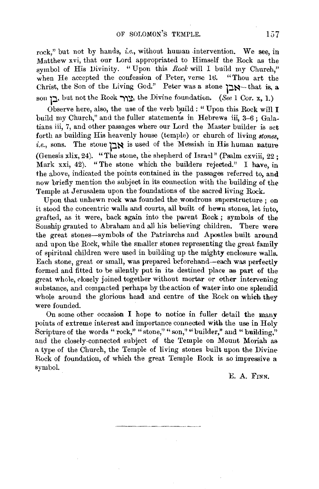rock," but not by hands, *i.e.*, without human intervention. We see, in Matthew xvi, that our Lord appropriated to Himself the Rock as the symbol of His Divinity. "Upon this *Rock* will I build my Church," when He accepted the confession of Peter, verse 16. "Thou art the Christ, the Son of the Living God." Peter was a stone אבן -- that is, a son  $\sum$ , but not the Rock  $\sum$  $\sum$ , the Divine foundation. (See 1 Cor. x, 1.)

Observe here, also, the use of the verb build : "Upon this Rock will I build my Church," and the fuller statements in Hebrews iii, 3-6; Galatians iii, 7, and other passages where our Lord the Master builder is set forth as building His heavenly house (temple) or church of living *stones,*  i.e., sons. The stone  $\sum N$  is used of the Messiah in His human nature (Genesis xlix, 24). "The stone, the shepherd of Israel" (Psalm cxviii, 22 ; Mark xxi, 42). "The stone which the builders rejected." I have, in the above, indicated the points contained in the passages referred to, and now briefly mention the subject in its connection with the building of the Temple at Jerusalem upon the foundations of the sacred living Rock.

Upon that unhewn rock was founded the wondrous superstructure: on it stood the concentric walls and courts, all built of hewn stones, let into, grafted, as it were, back again into the parent Rock; symbols of the Sonship granted to Abraham and all his believing children. There were the great stones-symbols of the Patriarchs and Apostles built around and upon the Rock, while the smaller stones representing the great family of spiritual children were used in building up the mighty enclosure walls. Each stone, great or small, was prepared beforehand-each was perfectly formed and fitted to be silently put in its destined place as part of the great whole, closely joined together without mortar or other intervening substance, and compacted perhaps by the action of water into one splendid whole around the glorious head and centre of the Rock on which they were founded.

On some other occasion I hope to notice in fuller detail the manv points of extreme interest and importance connected with the use in Holy Scripture of the words " rock," "stone," "son," "builder," and "building," and the closely-connected subject of the Temple on Mount Moriah as a type of the Church, the Temple of living stones built upon the Divine-Rock of foundation, of which the great Temple Rock is so impressive a symbol.

E. A. FINN.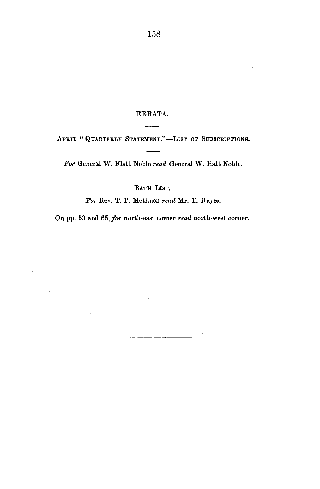## ERRATA.

APRIL "QUARTERLY STATEMENT."-LIST OF SUBSCRIPTIONS.

For General W. Flatt Noble *read* General W. Hatt Noble.

BATH LIST.

*For* Rev. T. P. Methuen *read* Mr. T. Hayes.

On pp. 53 and *65,for* north-east corner *read* north-west corner.